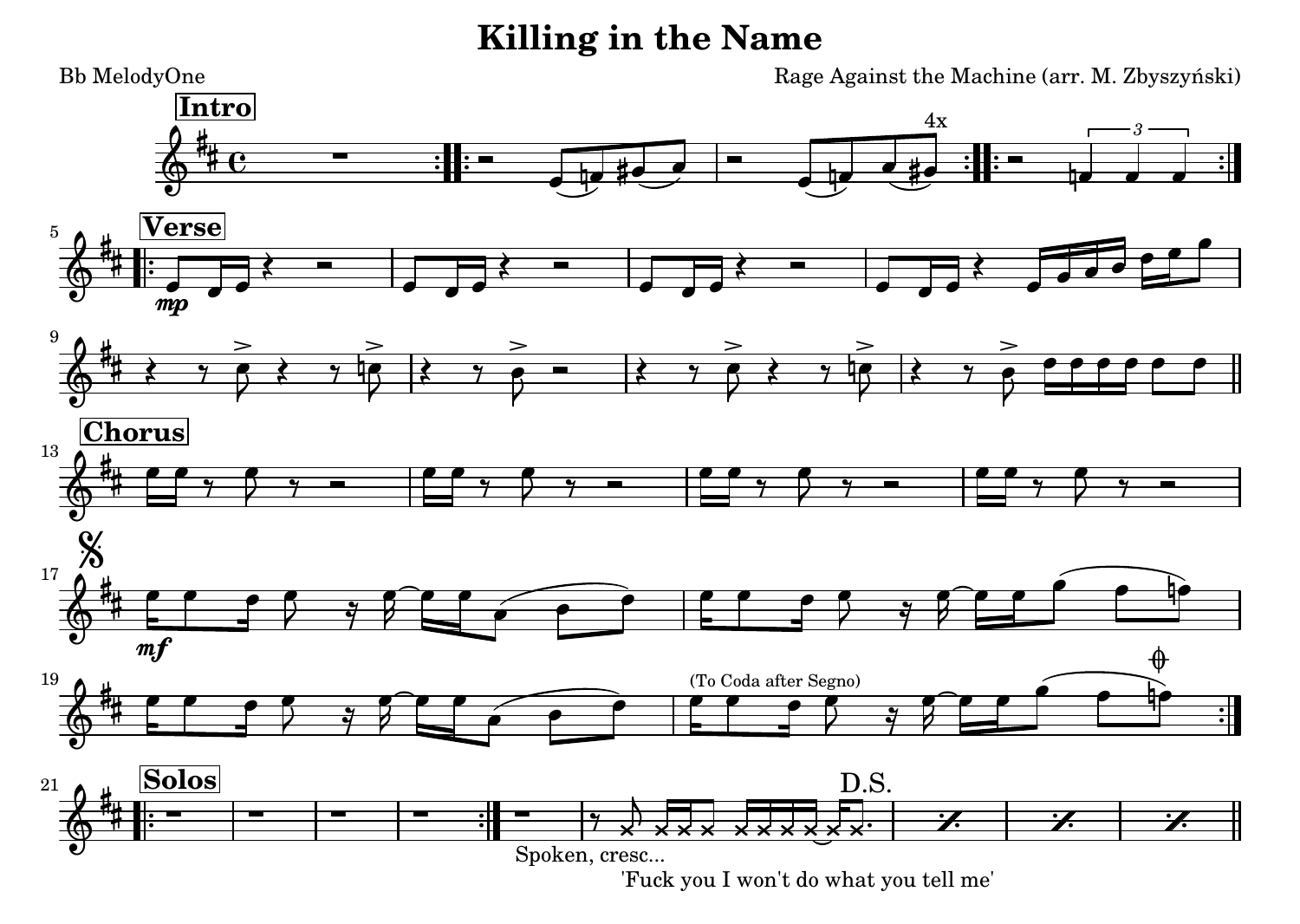## **Killing in the Name**